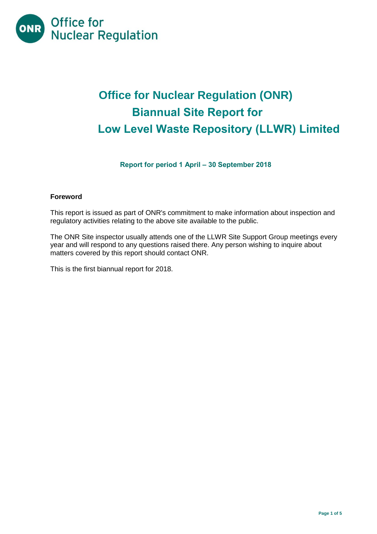

# **Office for Nuclear Regulation (ONR) Biannual Site Report for Low Level Waste Repository (LLWR) Limited**

# **Report for period 1 April – 30 September 2018**

## **Foreword**

This report is issued as part of ONR's commitment to make information about inspection and regulatory activities relating to the above site available to the public.

The ONR Site inspector usually attends one of the LLWR Site Support Group meetings every year and will respond to any questions raised there. Any person wishing to inquire about matters covered by this report should contact ONR.

This is the first biannual report for 2018.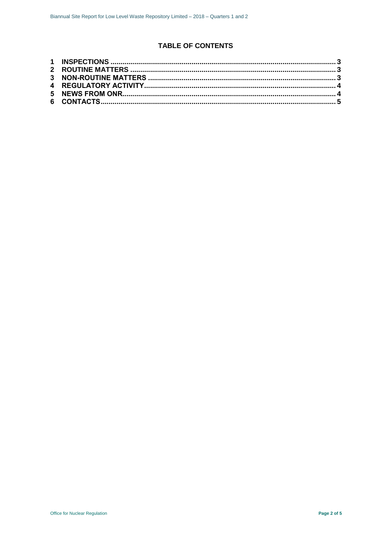# **TABLE OF CONTENTS**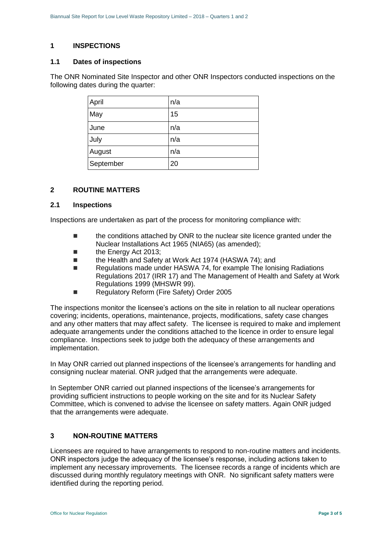## <span id="page-2-0"></span>**1 INSPECTIONS**

#### **1.1 Dates of inspections**

The ONR Nominated Site Inspector and other ONR Inspectors conducted inspections on the following dates during the quarter:

| April     | n/a |
|-----------|-----|
| May       | 15  |
| June      | n/a |
| July      | n/a |
| August    | n/a |
| September | 20  |

## <span id="page-2-1"></span>**2 ROUTINE MATTERS**

#### **2.1 Inspections**

Inspections are undertaken as part of the process for monitoring compliance with:

- **the conditions attached by ONR to the nuclear site licence granted under the** Nuclear Installations Act 1965 (NIA65) (as amended);
- **the Energy Act 2013;**
- the Health and Safety at Work Act 1974 (HASWA 74); and
- Regulations made under HASWA 74, for example The Ionising Radiations Regulations 2017 (IRR 17) and The Management of Health and Safety at Work Regulations 1999 (MHSWR 99).
- Regulatory Reform (Fire Safety) Order 2005

The inspections monitor the licensee's actions on the site in relation to all nuclear operations covering; incidents, operations, maintenance, projects, modifications, safety case changes and any other matters that may affect safety. The licensee is required to make and implement adequate arrangements under the conditions attached to the licence in order to ensure legal compliance. Inspections seek to judge both the adequacy of these arrangements and implementation.

In May ONR carried out planned inspections of the licensee's arrangements for handling and consigning nuclear material. ONR judged that the arrangements were adequate.

In September ONR carried out planned inspections of the licensee's arrangements for providing sufficient instructions to people working on the site and for its Nuclear Safety Committee, which is convened to advise the licensee on safety matters. Again ONR judged that the arrangements were adequate.

# <span id="page-2-2"></span>**3 NON-ROUTINE MATTERS**

Licensees are required to have arrangements to respond to non-routine matters and incidents. ONR inspectors judge the adequacy of the licensee's response, including actions taken to implement any necessary improvements. The licensee records a range of incidents which are discussed during monthly regulatory meetings with ONR. No significant safety matters were identified during the reporting period.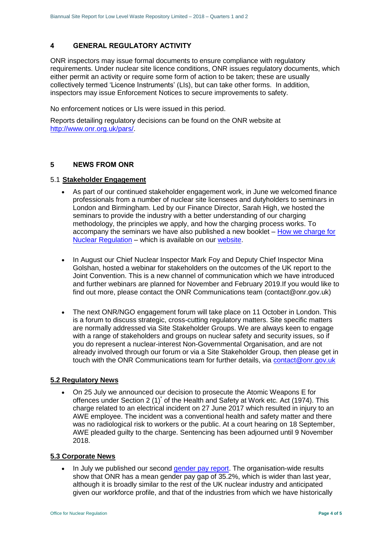# <span id="page-3-0"></span>**4 GENERAL REGULATORY ACTIVITY**

ONR inspectors may issue formal documents to ensure compliance with regulatory requirements. Under nuclear site licence conditions, ONR issues regulatory documents, which either permit an activity or require some form of action to be taken; these are usually collectively termed 'Licence Instruments' (LIs), but can take other forms. In addition, inspectors may issue Enforcement Notices to secure improvements to safety.

No enforcement notices or LIs were issued in this period.

Reports detailing regulatory decisions can be found on the ONR website at [http://www.onr.org.uk/pars/.](http://www.onr.org.uk/pars/)

## <span id="page-3-1"></span>**5 NEWS FROM ONR**

#### 5.1 **Stakeholder Engagement**

- As part of our continued stakeholder engagement work, in June we welcomed finance professionals from a number of nuclear site licensees and dutyholders to seminars in London and Birmingham. Led by our Finance Director, Sarah High, we hosted the seminars to provide the industry with a better understanding of our charging methodology, the principles we apply, and how the charging process works. To accompany the seminars we have also published a new booklet  $-$  How we charge for [Nuclear Regulation](http://www.onr.org.uk/documents/2018/how-we-charge-for-nuclear-regulation.pdf) – which is available on our [website.](http://www.onr.org.uk/documents/2018/how-we-charge-for-nuclear-regulation.pdf)
- In August our Chief Nuclear Inspector Mark Foy and Deputy Chief Inspector Mina Golshan, hosted a webinar for stakeholders on the outcomes of the UK report to the Joint Convention. This is a new channel of communication which we have introduced and further webinars are planned for November and February 2019.If you would like to find out more, please contact the ONR Communications team (contact@onr.gov.uk)
- The next ONR/NGO engagement forum will take place on 11 October in London. This is a forum to discuss strategic, cross-cutting regulatory matters. Site specific matters are normally addressed via Site Stakeholder Groups. We are always keen to engage with a range of stakeholders and groups on nuclear safety and security issues, so if you do represent a nuclear-interest Non-Governmental Organisation, and are not already involved through our forum or via a Site Stakeholder Group, then please get in touch with the ONR Communications team for further details, via [contact@onr.gov.uk](mailto:contact@onr.gov.uk)

#### **5.2 Regulatory News**

 On 25 July we announced our decision to prosecute the Atomic Weapons E for offences under Section 2 (1)<sup>\*</sup> of the Health and Safety at Work etc. Act (1974). This charge related to an electrical incident on 27 June 2017 which resulted in injury to an AWE employee. The incident was a conventional health and safety matter and there was no radiological risk to workers or the public. At a court hearing on 18 September, AWE pleaded guilty to the charge. Sentencing has been adjourned until 9 November 2018.

#### **5.3 Corporate News**

 In July we published our second [gender pay report.](http://news.onr.org.uk/2018/07/onr-publishes-second-gender-pay-report/) The organisation-wide results show that ONR has a mean gender pay gap of 35.2%, which is wider than last year, although it is broadly similar to the rest of the UK nuclear industry and anticipated given our workforce profile, and that of the industries from which we have historically